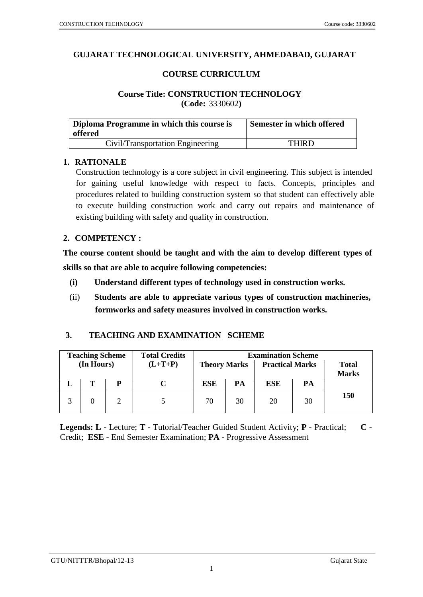### **GUJARAT TECHNOLOGICAL UNIVERSITY, AHMEDABAD, GUJARAT**

#### **COURSE CURRICULUM**

### **Course Title: CONSTRUCTION TECHNOLOGY (Code:** 3330602**)**

| Diploma Programme in which this course is<br>offered | Semester in which offered |
|------------------------------------------------------|---------------------------|
| Civil/Transportation Engineering                     | <b>THIRD</b>              |

### **1. RATIONALE**

Construction technology is a core subject in civil engineering. This subject is intended for gaining useful knowledge with respect to facts. Concepts, principles and procedures related to building construction system so that student can effectively able to execute building construction work and carry out repairs and maintenance of existing building with safety and quality in construction.

#### **2. COMPETENCY :**

**The course content should be taught and with the aim to develop different types of skills so that are able to acquire following competencies:**

- **(i) Understand different types of technology used in construction works.**
- (ii) **Students are able to appreciate various types of construction machineries, formworks and safety measures involved in construction works.**

### **3. TEACHING AND EXAMINATION SCHEME**

|                              | <b>Examination Scheme</b> |                        |    |                     | <b>Total Credits</b> |   | <b>Teaching Scheme</b> |  |
|------------------------------|---------------------------|------------------------|----|---------------------|----------------------|---|------------------------|--|
| <b>Total</b><br><b>Marks</b> |                           | <b>Practical Marks</b> |    | <b>Theory Marks</b> | $(L+T+P)$            |   | (In Hours)             |  |
|                              | PA                        | ESE                    | PA | <b>ESE</b>          |                      | D |                        |  |
| <b>150</b>                   | 30                        | 20                     | 30 | 70                  |                      |   |                        |  |

**Legends: L -** Lecture; **T -** Tutorial/Teacher Guided Student Activity; **P -** Practical; **C -** Credit; **ESE** - End Semester Examination; **PA** - Progressive Assessment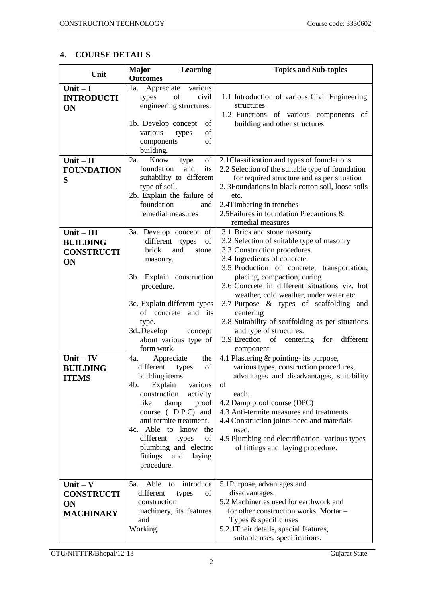# **4. COURSE DETAILS**

| Unit                           | <b>Major</b><br>Learning                                                        | <b>Topics and Sub-topics</b>                                                 |
|--------------------------------|---------------------------------------------------------------------------------|------------------------------------------------------------------------------|
|                                | <b>Outcomes</b>                                                                 |                                                                              |
| Unit $-I$<br><b>INTRODUCTI</b> | Appreciate<br>various<br>1a.<br>of<br>civil<br>types<br>engineering structures. | 1.1 Introduction of various Civil Engineering<br>structures                  |
| <b>ON</b>                      |                                                                                 | 1.2 Functions of various components of                                       |
|                                | 1b. Develop concept<br>of                                                       | building and other structures                                                |
|                                | various<br>οf<br>types                                                          |                                                                              |
|                                | of<br>components<br>building.                                                   |                                                                              |
| $Unit - II$                    | 2a.<br>Know<br>of<br>type                                                       | 2.1 Classification and types of foundations                                  |
| <b>FOUNDATION</b>              | foundation<br>and<br>its                                                        | 2.2 Selection of the suitable type of foundation                             |
| S                              | suitability to different                                                        | for required structure and as per situation                                  |
|                                | type of soil.                                                                   | 2. 3Foundations in black cotton soil, loose soils                            |
|                                | 2b. Explain the failure of                                                      | etc.                                                                         |
|                                | foundation<br>and                                                               | 2.4Timbering in trenches<br>2.5 Failures in foundation Precautions &         |
|                                | remedial measures                                                               | remedial measures                                                            |
| $Unit - III$                   | 3a. Develop concept of                                                          | 3.1 Brick and stone masonry                                                  |
| <b>BUILDING</b>                | different types<br>of                                                           | 3.2 Selection of suitable type of masonry                                    |
| <b>CONSTRUCTI</b>              | brick<br>and<br>stone                                                           | 3.3 Construction procedures.                                                 |
| ON                             | masonry.                                                                        | 3.4 Ingredients of concrete.                                                 |
|                                |                                                                                 | 3.5 Production of concrete, transportation,                                  |
|                                | 3b. Explain construction<br>procedure.                                          | placing, compaction, curing<br>3.6 Concrete in different situations viz. hot |
|                                |                                                                                 | weather, cold weather, under water etc.                                      |
|                                | 3c. Explain different types                                                     | 3.7 Purpose & types of scaffolding and                                       |
|                                | of concrete and its                                                             | centering                                                                    |
|                                | type.                                                                           | 3.8 Suitability of scaffolding as per situations                             |
|                                | 3d.Develop<br>concept                                                           | and type of structures.                                                      |
|                                | about various type of<br>form work.                                             | 3.9 Erection of centering for different<br>component                         |
| $Unit - IV$                    | Appreciate<br>the<br>4a.                                                        | 4.1 Plastering & pointing- its purpose,                                      |
| <b>BUILDING</b>                | different<br>of<br>types                                                        | various types, construction procedures,                                      |
| <b>ITEMS</b>                   | building items.                                                                 | advantages and disadvantages, suitability                                    |
|                                | Explain<br>4b.<br>various                                                       | of                                                                           |
|                                | construction<br>activity                                                        | each.                                                                        |
|                                | like<br>damp<br>proof<br>course (D.P.C) and                                     | 4.2 Damp proof course (DPC)<br>4.3 Anti-termite measures and treatments      |
|                                | anti termite treatment.                                                         | 4.4 Construction joints-need and materials                                   |
|                                | 4c. Able to know the                                                            | used.                                                                        |
|                                | different<br>of<br>types                                                        | 4.5 Plumbing and electrification-various types                               |
|                                | plumbing and electric                                                           | of fittings and laying procedure.                                            |
|                                | fittings<br>and<br>laying                                                       |                                                                              |
|                                | procedure.                                                                      |                                                                              |
| $Unit - V$                     | introduce<br>Able to<br>5a.                                                     | 5.1Purpose, advantages and                                                   |
| <b>CONSTRUCTI</b>              | different<br>of<br>types                                                        | disadvantages.                                                               |
| <b>ON</b>                      | construction                                                                    | 5.2 Machineries used for earthwork and                                       |
| <b>MACHINARY</b>               | machinery, its features                                                         | for other construction works. Mortar -                                       |
|                                | and                                                                             | Types & specific uses                                                        |
|                                | Working.                                                                        | 5.2.1 Their details, special features,<br>suitable uses, specifications.     |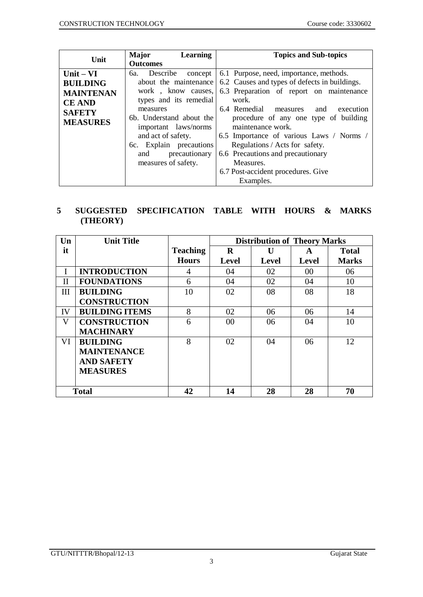| Unit                                                                                                    | Major<br>Learning<br><b>Outcomes</b>                                                                                                                                                                                                                             | <b>Topics and Sub-topics</b>                                                                                                                                                                                                                                                                                                                                                                                                             |
|---------------------------------------------------------------------------------------------------------|------------------------------------------------------------------------------------------------------------------------------------------------------------------------------------------------------------------------------------------------------------------|------------------------------------------------------------------------------------------------------------------------------------------------------------------------------------------------------------------------------------------------------------------------------------------------------------------------------------------------------------------------------------------------------------------------------------------|
| Unit $- VI$<br><b>BUILDING</b><br><b>MAINTENAN</b><br><b>CE AND</b><br><b>SAFETY</b><br><b>MEASURES</b> | 6a. Describe<br>concept<br>about the maintenance<br>work, know causes,<br>types and its remedial<br>measures<br>6b. Understand about the<br>important laws/norms<br>and act of safety.<br>6c. Explain precautions<br>precautionary<br>and<br>measures of safety. | 6.1 Purpose, need, importance, methods.<br>6.2 Causes and types of defects in buildings.<br>6.3 Preparation of report on maintenance<br>work.<br>6.4 Remedial measures and<br>execution<br>procedure of any one type of building<br>maintenance work.<br>6.5 Importance of various Laws / Norms /<br>Regulations / Acts for safety.<br>6.6 Precautions and precautionary<br>Measures.<br>6.7 Post-accident procedures. Give<br>Examples. |

# **5 SUGGESTED SPECIFICATION TABLE WITH HOURS & MARKS (THEORY)**

| $\mathbf{U}\mathbf{n}$ | <b>Unit Title</b>     |                 | <b>Distribution of Theory Marks</b> |              |       |              |
|------------------------|-----------------------|-----------------|-------------------------------------|--------------|-------|--------------|
| it                     |                       | <b>Teaching</b> | $\mathbf R$                         | $\mathbf{I}$ | A     | <b>Total</b> |
|                        |                       | <b>Hours</b>    | <b>Level</b>                        | <b>Level</b> | Level | <b>Marks</b> |
| I                      | <b>INTRODUCTION</b>   | 4               | 04                                  | 02           | 00    | 06           |
| $\mathbf{I}$           | <b>FOUNDATIONS</b>    | 6               | 04                                  | 02           | 04    | 10           |
| III                    | <b>BUILDING</b>       | 10              | 02                                  | 08           | 08    | 18           |
|                        | <b>CONSTRUCTION</b>   |                 |                                     |              |       |              |
| IV                     | <b>BUILDING ITEMS</b> | 8               | 02                                  | 06           | 06    | 14           |
| V                      | <b>CONSTRUCTION</b>   | 6               | 00                                  | 06           | 04    | 10           |
|                        | <b>MACHINARY</b>      |                 |                                     |              |       |              |
| VI                     | <b>BUILDING</b>       | 8               | 02                                  | 04           | 06    | 12           |
|                        | <b>MAINTENANCE</b>    |                 |                                     |              |       |              |
|                        | <b>AND SAFETY</b>     |                 |                                     |              |       |              |
|                        | <b>MEASURES</b>       |                 |                                     |              |       |              |
|                        |                       |                 |                                     |              |       |              |
|                        | <b>Total</b>          | 42              | 14                                  | 28           | 28    | 70           |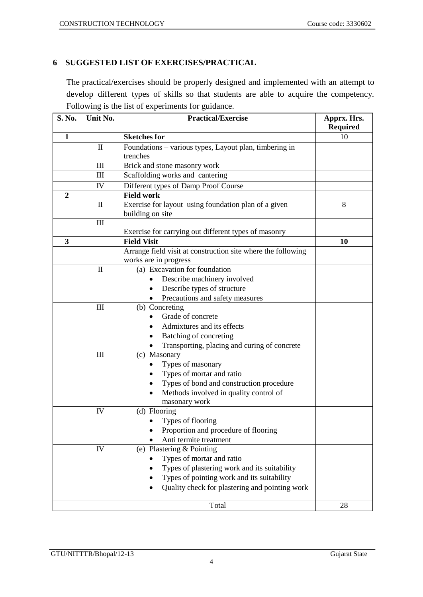## **6 SUGGESTED LIST OF EXERCISES/PRACTICAL**

The practical/exercises should be properly designed and implemented with an attempt to develop different types of skills so that students are able to acquire the competency. Following is the list of experiments for guidance.

| S. No.         | Unit No.                         | <b>Practical/Exercise</b>                                                | Apprx. Hrs.<br><b>Required</b> |
|----------------|----------------------------------|--------------------------------------------------------------------------|--------------------------------|
| $\mathbf{1}$   |                                  | <b>Sketches for</b>                                                      | 10                             |
|                | П                                | Foundations - various types, Layout plan, timbering in<br>trenches       |                                |
|                | $\mathop{\mathrm{III}}\nolimits$ | Brick and stone masonry work                                             |                                |
|                | Ш                                | Scaffolding works and cantering                                          |                                |
|                | IV                               | Different types of Damp Proof Course                                     |                                |
| $\overline{2}$ |                                  | <b>Field work</b>                                                        |                                |
|                | $\mathbf{I}$                     | Exercise for layout using foundation plan of a given<br>building on site | 8                              |
|                | $\rm III$                        |                                                                          |                                |
|                |                                  | Exercise for carrying out different types of masonry                     |                                |
| 3              |                                  | <b>Field Visit</b>                                                       | 10                             |
|                |                                  | Arrange field visit at construction site where the following             |                                |
|                |                                  | works are in progress                                                    |                                |
|                | $\mathbf{I}$                     | (a) Excavation for foundation                                            |                                |
|                |                                  | Describe machinery involved                                              |                                |
|                |                                  | Describe types of structure                                              |                                |
|                | $\mathop{\mathrm{III}}\nolimits$ | Precautions and safety measures<br>(b) Concreting                        |                                |
|                |                                  | Grade of concrete                                                        |                                |
|                |                                  | Admixtures and its effects                                               |                                |
|                |                                  | Batching of concreting                                                   |                                |
|                |                                  | Transporting, placing and curing of concrete                             |                                |
|                | III                              | (c) Masonary                                                             |                                |
|                |                                  | Types of masonary                                                        |                                |
|                |                                  | Types of mortar and ratio                                                |                                |
|                |                                  | Types of bond and construction procedure                                 |                                |
|                |                                  | Methods involved in quality control of                                   |                                |
|                |                                  | masonary work                                                            |                                |
|                | IV                               | (d) Flooring                                                             |                                |
|                |                                  | Types of flooring                                                        |                                |
|                |                                  | Proportion and procedure of flooring                                     |                                |
|                |                                  | Anti termite treatment                                                   |                                |
|                | ${\rm IV}$                       | (e) Plastering & Pointing                                                |                                |
|                |                                  | Types of mortar and ratio                                                |                                |
|                |                                  | Types of plastering work and its suitability                             |                                |
|                |                                  | Types of pointing work and its suitability                               |                                |
|                |                                  | Quality check for plastering and pointing work                           |                                |
|                |                                  | Total                                                                    | 28                             |